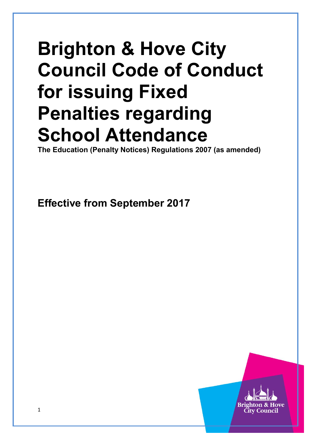# **Brighton & Hove City Council Code of Conduct for issuing Fixed Penalties regarding School Attendance**

**The Education (Penalty Notices) Regulations 2007 (as amended)** 

**Effective from September 2017**

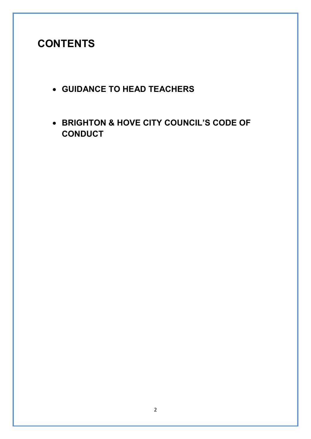# **CONTENTS**

- **GUIDANCE TO HEAD TEACHERS**
- **BRIGHTON & HOVE CITY COUNCIL'S CODE OF CONDUCT**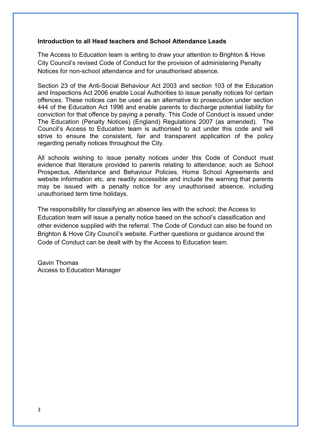#### **Introduction to all Head teachers and School Attendance Leads**

The Access to Education team is writing to draw your attention to Brighton & Hove City Council's revised Code of Conduct for the provision of administering Penalty Notices for non-school attendance and for unauthorised absence.

Section 23 of the Anti-Social Behaviour Act 2003 and section 103 of the Education and Inspections Act 2006 enable Local Authorities to issue penalty notices for certain offences. These notices can be used as an alternative to prosecution under section 444 of the Education Act 1996 and enable parents to discharge potential liability for conviction for that offence by paying a penalty. This Code of Conduct is issued under The Education (Penalty Notices) (England) Regulations 2007 (as amended). The Council's Access to Education team is authorised to act under this code and will strive to ensure the consistent, fair and transparent application of the policy regarding penalty notices throughout the City.

All schools wishing to issue penalty notices under this Code of Conduct must evidence that literature provided to parents relating to attendance; such as School Prospectus, Attendance and Behaviour Policies, Home School Agreements and website information etc. are readily accessible and include the warning that parents may be issued with a penalty notice for any unauthorised absence, including unauthorised term time holidays.

The responsibility for classifying an absence lies with the school; the Access to Education team will issue a penalty notice based on the school's classification and other evidence supplied with the referral. The Code of Conduct can also be found on Brighton & Hove City Council's website. Further questions or guidance around the Code of Conduct can be dealt with by the Access to Education team.

Gavin Thomas Access to Education Manager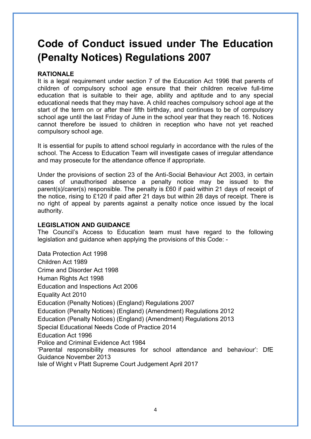# **Code of Conduct issued under The Education (Penalty Notices) Regulations 2007**

# **RATIONALE**

It is a legal requirement under section 7 of the Education Act 1996 that parents of children of compulsory school age ensure that their children receive full-time education that is suitable to their age, ability and aptitude and to any special educational needs that they may have. A child reaches compulsory school age at the start of the term on or after their fifth birthday, and continues to be of compulsory school age until the last Friday of June in the school year that they reach 16. Notices cannot therefore be issued to children in reception who have not yet reached compulsory school age.

It is essential for pupils to attend school regularly in accordance with the rules of the school. The Access to Education Team will investigate cases of irregular attendance and may prosecute for the attendance offence if appropriate.

Under the provisions of section 23 of the Anti-Social Behaviour Act 2003, in certain cases of unauthorised absence a penalty notice may be issued to the parent(s)/carer(s) responsible. The penalty is £60 if paid within 21 days of receipt of the notice, rising to £120 if paid after 21 days but within 28 days of receipt. There is no right of appeal by parents against a penalty notice once issued by the local authority.

#### **LEGISLATION AND GUIDANCE**

The Council's Access to Education team must have regard to the following legislation and guidance when applying the provisions of this Code: -

Data Protection Act 1998 Children Act 1989 Crime and Disorder Act 1998 Human Rights Act 1998 Education and Inspections Act 2006 Equality Act 2010 Education (Penalty Notices) (England) Regulations 2007 Education (Penalty Notices) (England) (Amendment) Regulations 2012 Education (Penalty Notices) (England) (Amendment) Regulations 2013 Special Educational Needs Code of Practice 2014 Education Act 1996 Police and Criminal Evidence Act 1984 'Parental responsibility measures for school attendance and behaviour': DfE Guidance November 2013 Isle of Wight v Platt Supreme Court Judgement April 2017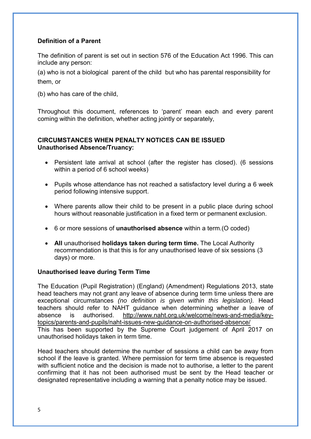# **Definition of a Parent**

The definition of parent is set out in section 576 of the Education Act 1996. This can include any person:

(a) who is not a biological parent of the child but who has parental responsibility for them, or

(b) who has care of the child,

Throughout this document, references to 'parent' mean each and every parent coming within the definition, whether acting jointly or separately,

# **CIRCUMSTANCES WHEN PENALTY NOTICES CAN BE ISSUED Unauthorised Absence/Truancy:**

- Persistent late arrival at school (after the register has closed). (6 sessions within a period of 6 school weeks)
- Pupils whose attendance has not reached a satisfactory level during a 6 week period following intensive support.
- Where parents allow their child to be present in a public place during school hours without reasonable justification in a fixed term or permanent exclusion.
- 6 or more sessions of **unauthorised absence** within a term.(O coded)
- **All** unauthorised **holidays taken during term time.** The Local Authority recommendation is that this is for any unauthorised leave of six sessions (3 days) or more.

#### **Unauthorised leave during Term Time**

The Education (Pupil Registration) (England) (Amendment) Regulations 2013, state head teachers may not grant any leave of absence during term time unless there are exceptional circumstances *(no definition is given within this legislation).* Head teachers should refer to NAHT guidance when determining whether a leave of absence is authorised. [http://www.naht.org.uk/welcome/news-and-media/key](http://www.naht.org.uk/welcome/news-and-media/key-topics/parents-and-pupils/naht-issues-new-guidance-on-authorised-absence/)[topics/parents-and-pupils/naht-issues-new-guidance-on-authorised-absence/](http://www.naht.org.uk/welcome/news-and-media/key-topics/parents-and-pupils/naht-issues-new-guidance-on-authorised-absence/)  This has been supported by the Supreme Court judgement of April 2017 on unauthorised holidays taken in term time.

Head teachers should determine the number of sessions a child can be away from school if the leave is granted. Where permission for term time absence is requested with sufficient notice and the decision is made not to authorise, a letter to the parent confirming that it has not been authorised must be sent by the Head teacher or designated representative including a warning that a penalty notice may be issued.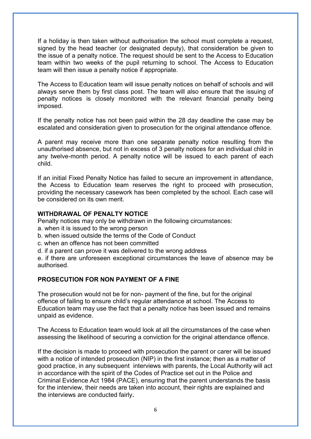If a holiday is then taken without authorisation the school must complete a request, signed by the head teacher (or designated deputy), that consideration be given to the issue of a penalty notice. The request should be sent to the Access to Education team within two weeks of the pupil returning to school. The Access to Education team will then issue a penalty notice if appropriate.

The Access to Education team will issue penalty notices on behalf of schools and will always serve them by first class post. The team will also ensure that the issuing of penalty notices is closely monitored with the relevant financial penalty being imposed.

If the penalty notice has not been paid within the 28 day deadline the case may be escalated and consideration given to prosecution for the original attendance offence.

A parent may receive more than one separate penalty notice resulting from the unauthorised absence, but not in excess of 3 penalty notices for an individual child in any twelve-month period. A penalty notice will be issued to each parent of each child.

If an initial Fixed Penalty Notice has failed to secure an improvement in attendance, the Access to Education team reserves the right to proceed with prosecution, providing the necessary casework has been completed by the school. Each case will be considered on its own merit.

#### **WITHDRAWAL OF PENALTY NOTICE**

Penalty notices may only be withdrawn in the following circumstances:

- a. when it is issued to the wrong person
- b. when issued outside the terms of the Code of Conduct
- c. when an offence has not been committed
- d. if a parent can prove it was delivered to the wrong address

e. if there are unforeseen exceptional circumstances the leave of absence may be authorised.

# **PROSECUTION FOR NON PAYMENT OF A FINE**

The prosecution would not be for non- payment of the fine, but for the original offence of failing to ensure child's regular attendance at school. The Access to Education team may use the fact that a penalty notice has been issued and remains unpaid as evidence.

The Access to Education team would look at all the circumstances of the case when assessing the likelihood of securing a conviction for the original attendance offence.

If the decision is made to proceed with prosecution the parent or carer will be issued with a notice of intended prosecution (NIP) in the first instance; then as a matter of good practice, in any subsequent interviews with parents, the Local Authority will act in accordance with the spirit of the Codes of Practice set out in the Police and Criminal Evidence Act 1984 (PACE), ensuring that the parent understands the basis for the interview, their needs are taken into account, their rights are explained and the interviews are conducted fairly**.**